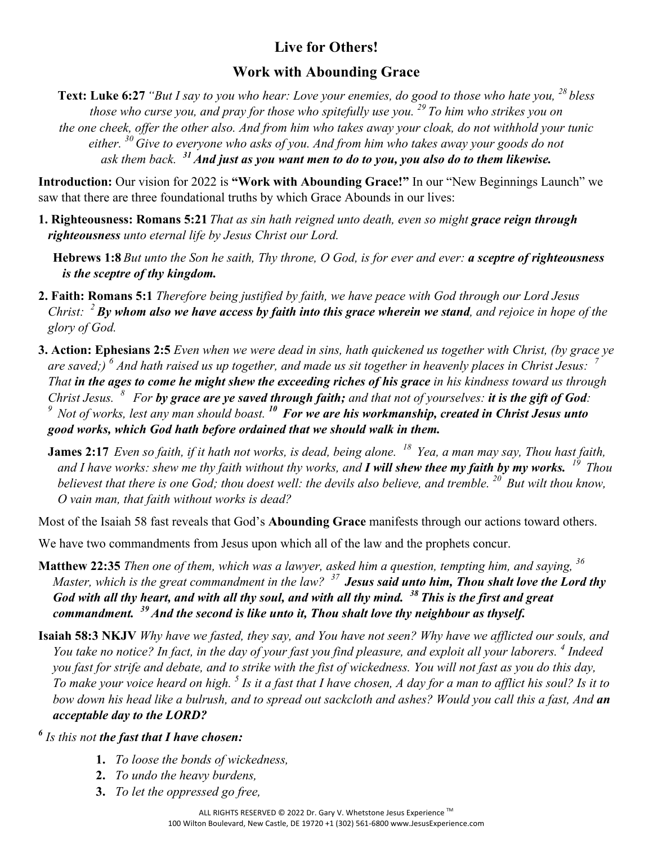## **Live for Others!**

## **Work with Abounding Grace**

**Text: Luke 6:27** *"But I say to you who hear: Love your enemies, do good to those who hate you, <sup>28</sup> bless those who curse you, and pray for those who spitefully use you. <sup>29</sup> To him who strikes you on the one cheek, offer the other also. And from him who takes away your cloak, do not withhold your tunic either. <sup>30</sup> Give to everyone who asks of you. And from him who takes away your goods do not ask them back. <sup>31</sup> And just as you want men to do to you, you also do to them likewise.*

**Introduction:** Our vision for 2022 is **"Work with Abounding Grace!"** In our "New Beginnings Launch" we saw that there are three foundational truths by which Grace Abounds in our lives:

- **1. Righteousness: Romans 5:21** *That as sin hath reigned unto death, even so might grace reign through righteousness unto eternal life by Jesus Christ our Lord.*
	- **Hebrews 1:8** *But unto the Son he saith, Thy throne, O God, is for ever and ever: a sceptre of righteousness is the sceptre of thy kingdom.*
- **2. Faith: Romans 5:1** *Therefore being justified by faith, we have peace with God through our Lord Jesus Christ: <sup>2</sup>By whom also we have access by faith into this grace wherein we stand, and rejoice in hope of the glory of God.*
- **3. Action: Ephesians 2:5** *Even when we were dead in sins, hath quickened us together with Christ, (by grace ye are saved;) <sup>6</sup> And hath raised us up together, and made us sit together in heavenly places in Christ Jesus: <sup>7</sup> That in the ages to come he might shew the exceeding riches of his grace in his kindness toward us through Christ Jesus. 8 For by grace are ye saved through faith; and that not of yourselves: it is the gift of God: 9 Not of works, lest any man should boast. 10 For we are his workmanship, created in Christ Jesus unto good works, which God hath before ordained that we should walk in them.*
	- **James 2:17** *Even so faith, if it hath not works, is dead, being alone. 18 Yea, a man may say, Thou hast faith, and I have works: shew me thy faith without thy works, and I will shew thee my faith by my works. 19 Thou believest that there is one God; thou doest well: the devils also believe, and tremble.* <sup>20</sup> But wilt thou know, *O vain man, that faith without works is dead?*

Most of the Isaiah 58 fast reveals that God's **Abounding Grace** manifests through our actions toward others.

We have two commandments from Jesus upon which all of the law and the prophets concur.

- **Matthew 22:35** *Then one of them, which was a lawyer, asked him a question, tempting him, and saying, <sup>36</sup> Master, which is the great commandment in the law? <sup>37</sup>Jesus said unto him, Thou shalt love the Lord thy God with all thy heart, and with all thy soul, and with all thy mind. 38 This is the first and great commandment. 39 And the second is like unto it, Thou shalt love thy neighbour as thyself.*
- **Isaiah 58:3 NKJV** *Why have we fasted, they say, and You have not seen? Why have we afflicted our souls, and You take no notice? In fact, in the day of your fast you find pleasure, and exploit all your laborers. <sup>4</sup> Indeed you fast for strife and debate, and to strike with the fist of wickedness. You will not fast as you do this day, To make your voice heard on high. <sup>5</sup> Is it a fast that I have chosen, A day for a man to afflict his soul? Is it to bow down his head like a bulrush, and to spread out sackcloth and ashes? Would you call this a fast, And an acceptable day to the LORD?*

*<sup>6</sup> Is this not the fast that I have chosen:*

- **1.** *To loose the bonds of wickedness,*
- **2.** *To undo the heavy burdens,*
- **3.** *To let the oppressed go free,*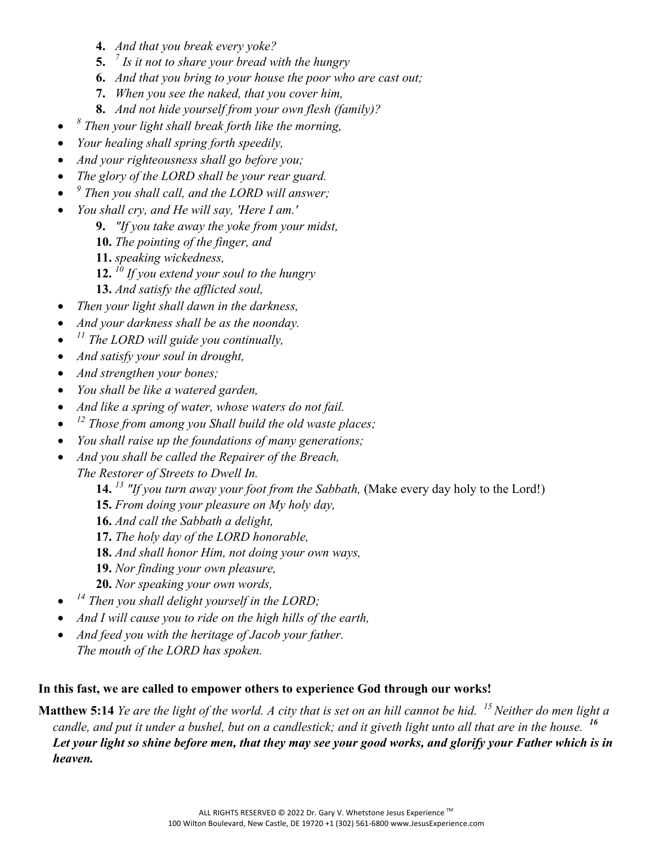- **4.** *And that you break every yoke?*
- **5.** *<sup>7</sup> Is it not to share your bread with the hungry*
- **6.** *And that you bring to your house the poor who are cast out;*
- **7.** *When you see the naked, that you cover him,*
- **8.** *And not hide yourself from your own flesh (family)?*
- *<sup>8</sup> Then your light shall break forth like the morning,*
- *Your healing shall spring forth speedily,*
- *And your righteousness shall go before you;*
- *The glory of the LORD shall be your rear guard.*
- *<sup>9</sup> Then you shall call, and the LORD will answer;*
- *You shall cry, and He will say, 'Here I am.'*
	- **9.** *"If you take away the yoke from your midst,*
	- **10.** *The pointing of the finger, and*
	- **11.** *speaking wickedness,*
	- **12.** *<sup>10</sup> If you extend your soul to the hungry*
	- **13.** *And satisfy the afflicted soul,*
- *Then your light shall dawn in the darkness,*
- *And your darkness shall be as the noonday.*
- *<sup>11</sup> The LORD will guide you continually,*
- *And satisfy your soul in drought,*
- *And strengthen your bones;*
- *You shall be like a watered garden,*
- *And like a spring of water, whose waters do not fail.*
- *<sup>12</sup> Those from among you Shall build the old waste places;*
- *You shall raise up the foundations of many generations;*
- *And you shall be called the Repairer of the Breach,*
	- *The Restorer of Streets to Dwell In.*
		- **14.** *<sup>13</sup> "If you turn away your foot from the Sabbath,* (Make every day holy to the Lord!)
		- **15.** *From doing your pleasure on My holy day,*
		- **16.** *And call the Sabbath a delight,*
		- **17.** *The holy day of the LORD honorable,*
		- **18.** *And shall honor Him, not doing your own ways,*
		- **19.** *Nor finding your own pleasure,*
		- **20.** *Nor speaking your own words,*
- *<sup>14</sup> Then you shall delight yourself in the LORD;*
- *And I will cause you to ride on the high hills of the earth,*
- *And feed you with the heritage of Jacob your father. The mouth of the LORD has spoken.*

## **In this fast, we are called to empower others to experience God through our works!**

**Matthew 5:14** *Ye are the light of the world. A city that is set on an hill cannot be hid. 15 Neither do men light a candle, and put it under a bushel, but on a candlestick; and it giveth light unto all that are in the house. <sup>16</sup> Let your light so shine before men, that they may see your good works, and glorify your Father which is in heaven.*